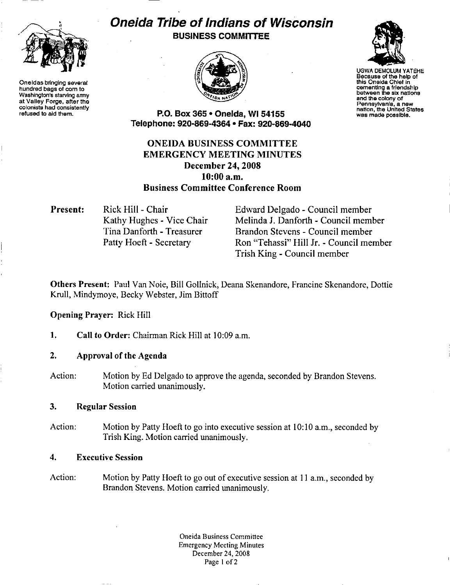

Oneidas bringing several hundred bags of corn to Washington's starving army at Valley Forge, after the colonists had consistently refused to aid them.

# Oneida Tribe of Indians of Wisconsin BUSINESS COMMITTEE





UGWA DEMOLUM YATEHE Because of the help of this Oneida Chief in cementing a friendship<br>between the six nations and the colony of<br>Pennsylvania, a new nation, the United States<br>was made possible.

P.O. Box 365 • Oneida, WI 54155 Telephone: 920-869-4364 • Fax: 920-869-4040

ONEIDA BUSINESS COMMITTEE EMERGENCY MEETING MINUTES December 24, 2008 10:00 a.m. Business Committee Conference Room

Present: Rick Hill - Chair Kathy Hughes - Vice Chair Tina Danforth - Treasurer Patty Hoeft - Secretary

Edward Delgado - Council member Melinda J. Danforth- Council member Brandon Stevens - Council member Ron "Tehassi" Hill Jr. -Council member Trish King - Council member

Others Present: Paul Van Noie, Bill Gollnick, Deana Skenandore, Francine Skenandore, Dottie Krull, Mindymoye, Becky Webster, Jim Bittoff

### Opening Prayer: Rick Hill

1. Call to Order: Chairman Rick Hill at 10:09 a.m.

## 2. Approval of the Agenda

Action: Motion by Ed Delgado to approve the agenda, seconded by Brandon Stevens. Motion carried unanimously.

### 3. Regular Session

Action: Motion by Patty Hoeft to go into executive session at 10:10 a.m., seconded by Trish King. Motion carried unanimously.

### 4. Executive Session

Action: Motion by Patty Hoeft to go out of executive session at II a.m., seconded by Brandon Stevens. Motion carried unanimously.

> Oneida Business Committee Emergency Meeting Minutes December 24, 2008 Page 1 of 2